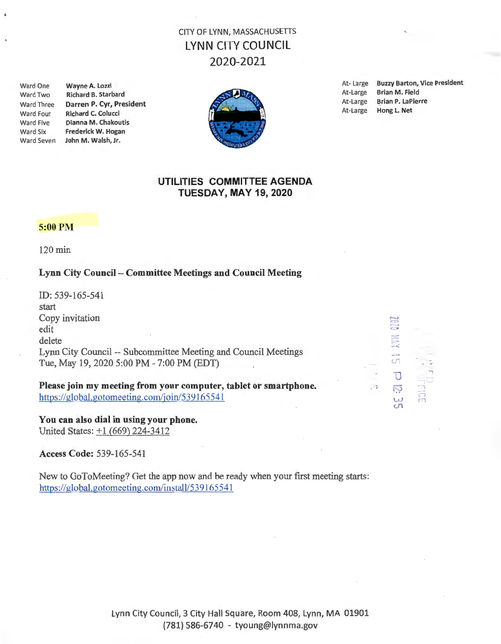# CITY OF LYNN, MASSACHUSETIS LYNN CITY COUNCIL 2020-2021

Ward Three Darren P. Cyr, President At-Large Brian P. LaPierre Brian P. LaPierre Brian P. LaPierre Brian P. LaPierre Brian P. LaPierre Brian P. LaPierre Brian P. LaPierre Brian P. LaPierre Brian P. LaPierre Brian P. LaPier Ward Four Richard C. Colucci Ward Five Dianna M. Chakoutis Ward Six Frederick W. Hogan Ward Seven John M. Walsh, Jr.



Ward One Wayne A. Lozzi At- Large Buzzy Barton, Vice President<br>Mard Two Bichard B. Starbard B. Starbard Ward Two Richard B. Starbard **At-Large Brian M. Field** At-Large Brian M. Field At-Large Brian M. Field At-Large Brian M. Field

### UTILITIES COMMITTEE AGENDA TUESDAY, MAY 19, 2020

#### 5:00 PM

120 min

#### Lynn City Council - Committee Meetings and Council Meeting

ID: 539-165-541 start Copy invitation edit delete Lynn City Council -- Subcommittee Meeting and Council Meetings Tue, May 19, 2020 5:00 PM - 7:00 PM (EDT)

Please join my meeting from your computer, tablet or smartphone. https://global.gotomeeting.com/join/539165541

You can also dial in using your phone. United States: +1 (669) 224-3412

Access Code: 539-165-541

New to GoToMeeting? Get the app now and be ready when your first meeting starts: https://global.gotomeeting.com/install/539165541

| <b>TOT</b><br>$\sim$                |                                                    |
|-------------------------------------|----------------------------------------------------|
| 三宝                                  |                                                    |
| <b>SECOND</b><br>cη                 |                                                    |
|                                     |                                                    |
| $\overline{\phantom{0}}$<br>3)<br>S | m<br><b>Barnett Corporation</b><br>$\bigcirc$<br>m |

Lynn City Council, 3 City Hall Square, Room 408, Lynn, MA 01901 (781) 586-6740 - tyoung@lynnma.gov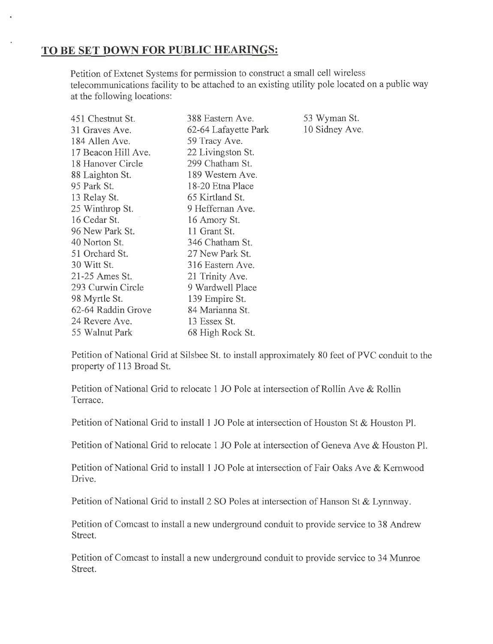## **TO BE SET DOWN FOR PUBLIC HEARINGS:**

Petition of Extenet Systems for permission to construct a small cell wireless telecommunications facility to be attached to an existing utility pole located on a public way at the following locations:

| 451 Chestnut St.    | 388 Eastern Ave.     | 53 Wyman St.   |
|---------------------|----------------------|----------------|
| 31 Graves Ave.      | 62-64 Lafayette Park | 10 Sidney Ave. |
| 184 Allen Ave.      | 59 Tracy Ave.        |                |
| 17 Beacon Hill Ave. | 22 Livingston St.    |                |
| 18 Hanover Circle   | 299 Chatham St.      |                |
| 88 Laighton St.     | 189 Western Ave.     |                |
| 95 Park St.         | 18-20 Etna Place     |                |
| 13 Relay St.        | 65 Kirtland St.      |                |
| 25 Winthrop St.     | 9 Heffernan Ave.     |                |
| 16 Cedar St.        | 16 Amory St.         |                |
| 96 New Park St.     | 11 Grant St.         |                |
| 40 Norton St.       | 346 Chatham St.      |                |
| 51 Orchard St.      | 27 New Park St.      |                |
| 30 Witt St.         | 316 Eastern Ave.     |                |
| 21-25 Ames St.      | 21 Trinity Ave.      |                |
| 293 Curwin Circle   | 9 Wardwell Place     |                |
| 98 Myrtle St.       | 139 Empire St.       |                |
| 62-64 Raddin Grove  | 84 Marianna St.      |                |
| 24 Revere Ave.      | 13 Essex St.         |                |
| 55 Walnut Park      | 68 High Rock St.     |                |

Petition of National Grid at Silsbee St. to install approximately 80 feet of PVC conduit to the property of 113 Broad St.

Petition of National Grid to relocate 1 JO Pole at intersection of Rollin Ave & Rollin Terrace.

Petition of National Grid to install 1 JO Pole at intersection of Houston St & Houston Pl.

Petition of National Grid to relocate 1 JO Pole at intersection of Geneva Ave & Houston Pl.

Petition of National Grid to install 1 JO Pole at intersection of Fair Oaks Ave & Kernwood Drive.

Petition of National Grid to install 2 SO Poles at intersection of Hanson St & Lynnway.

Petition of Comcast to install a new underground conduit to provide service to 3 8 Andrew Street.

Petition of Comcast to install a new underground conduit to provide service to 34 Munroe Street.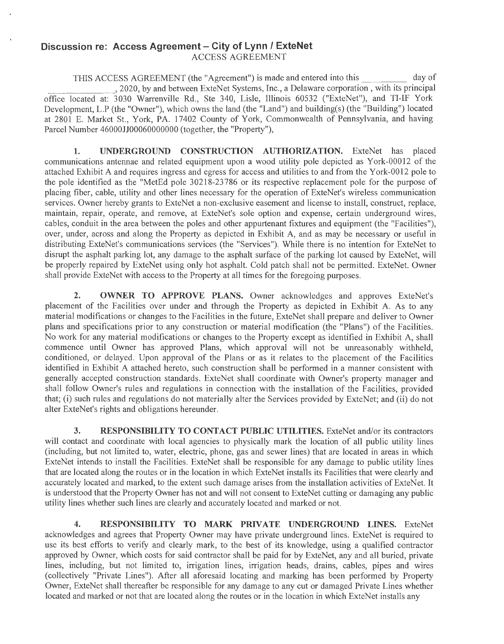#### **Discussion re: Access Agreement - City of Lynn / ExteNet** ACCESS AGREEMENT

THIS ACCESS AGREEMENT (the "Agreement") is made and entered into this day of THIS ACCESS AGREEMENT (the "Agreement") is made and entered into this \_\_\_\_\_\_\_\_\_\_\_ day of<br>2020, by and between ExteNet Systems, Inc., a Delaware corporation , with its principal<br>office located at: 3030 Warrenville Rd., Ste Development, L.P (the "Owner"), which owns the land (the "Land") and building(s) (the "Building") located at 2801 E. Market St., York, PA. 17402 County of York, Commonwealth of Pennsylvania, and having Parcel Number 46000JJ00060000000 (together, the "Property"),

1. UNDERGROUND CONSTRUCTION AUTHORIZATION. ExteNet has placed communications antennae and related equipment upon a wood utility pole depicted as York-00012 of the attached Exhibit A and requires ingress and egress for access and utilities to and from the York-0012 pole to the pole identified as the "MetEd pole 30218-23786 or its respective replacement pole for the purpose of placing fiber, cable, utility and other lines necessary for the operation of ExteNet's wireless communication services. Owner hereby grants to ExteNet a non-exclusive easement and license to install, construct, replace, maintain, repair, operate, and remove, at ExteNet's sole option and expense, certain underground wires, cables, conduit in the area between the poles and other appurtenant fixtures and equipment (the "Facilities"), over, under, across and along the Property as depicted in Exhibit A, and as may be necessary or useful in distributing ExteNet's communications services (the "Services"). While there is no intention for ExteNet to disrupt the asphalt parking lot, any damage to the asphalt surface of the parking lot caused by ExteNet, will be properly repaired by ExteNet using only hot asphalt. Cold patch shall not be permitted. ExteNet. Owner shall provide ExteNet with access to the Property at all times for the foregoing purposes.

**2. OWNER TO APPROVE PLANS.** Owner acknowledges and approves ExteNet's placement of the Facilities over under and through the Property as depicted in Exhibit A. As to any material modifications or changes to the Facilities in the future, ExteNet shall prepare and deliver to Owner plans and specifications prior to any construction or material modification (the "Plans") of the Facilities. No work for any material modifications or changes to the Property except as identified in Exhibit A, shall commence until Owner has approved Plans, which approval will not be unreasonably withheld, conditioned, or delayed. Upon approval of the Plans or as it relates to the placement of the Facilities identified in Exhibit A attached hereto, such construction shall be performed in a manner consistent with generally accepted construction standards. ExteNet shall coordinate with Owner's property manager and shall follow Owner's rules and regulations in connection with the installation of the Facilities, provided that; (i) such rules and regulations do not materially alter the Services provided by ExteNet; and (ii) do not alter ExteNet's rights and obligations hereunder.

**3. RESPONSIBILITY TO CONTACT PUBLIC UTILITIES.** ExteNet and/or its contractors will contact and coordinate with local agencies to physically mark the location of all public utility lines (including, but not limited to, water, electric, phone, gas and sewer lines) that are located in areas in which ExteNet intends to install the Facilities. ExteNet shall be responsible for any damage to public utility lines that are located along the routes or in the location in which ExteNet installs its Facilities that were clearly and accurately located and marked, to the extent such damage arises from the installation activities of ExteNet. It is understood that the Property Owner has not and will not consent to ExteNet cutting or damaging any public utility lines whether such lines are clearly and accurately located and marked or not.

**4. RESPONSIBILITY TO MARK PRIVATE UNDERGROUND LINES.** ExteNet acknowledges and agrees that Property Owner may have private underground lines. ExteNet is required to use its best efforts to verify and clearly mark, to the best of its knowledge, using a qualified contractor approved by Owner, which costs for said contractor shall be paid for by ExteNet, any and all buried, private lines, including, but not limited to, irrigation lines, irrigation heads, drains, cables, pipes and wires (collectively "Private Lines"). After all aforesaid locating and marking has been performed by Property Owner, ExteNet shall thereafter be responsible for any damage to any cut or damaged Private Lines whether located and marked or not that are located along the routes or in the location in which ExteNet installs any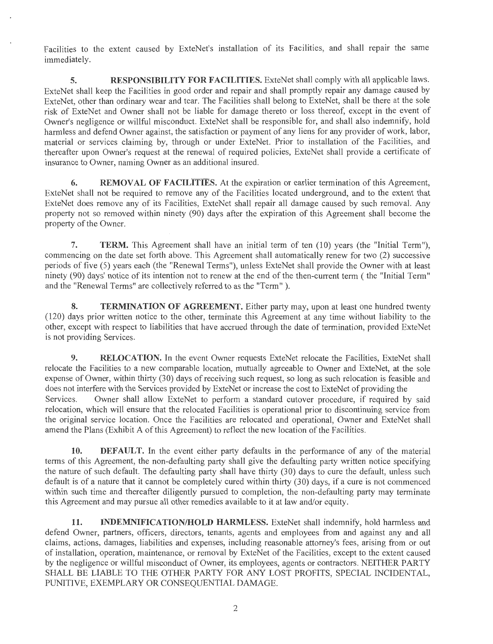Facilities to the extent caused by ExteNet's installation of its Facilities, and shall repair the same immediately.

**5.** RESPONSIBILITY FOR FACILITIES. ExteNet shall comply with all applicable laws. ExteNet shall keep the Facilities in good order and repair and shall promptly repair any damage caused by ExteNet, other than ordinary wear and tear. The Facilities shall belong to ExteNet, shall be there at the sole risk of ExteNet and Owner shall not be liable for damage thereto or loss thereof, except in the event of Owner's negligence or willful misconduct. ExteNet shall be responsible for, and shall also indemnify, hold harmless and defend Owner against, the satisfaction or payment of any liens for any provider of work, labor, material or services claiming by, through or under ExteNet. Prior to installation of the Facilities, and thereafter upon Owner's request at the renewal of required policies, ExteNet shall provide a certificate of insurance to Owner, naming Owner as an additional insured.

**6. REMOVAL OF FACILITIES.** At the expiration or earlier termination of this Agreement, ExteNet shall not be required to remove any of the Facilities located underground, and to the extent that ExteNet does remove any of its Facilities, ExteNet shall repair all damage caused by such removal. Any property not so removed within ninety (90) days after the expiration of this Agreement shall become the property of the Owner.

7. **TERM.** This Agreement shall have an initial term of ten (10) years (the "Initial Term"), commencing on the date set forth above. This Agreement shall automatically renew for two (2) successive periods of five (5) years each (the "Renewal Terms"), unless ExteNet shall provide the Owner with at least ninety (90) days' notice of its intention not to renew at the end of the then-current term ( the "Initial Term" and the "Renewal Terms" are collectively referred to as the "Term").

**8. TERMINATION OF AGREEMENT.** Either party may, upon at least one hundred twenty (120) days prior written notice to the other, terminate this Agreement at any tirne without liability to the other, except with respect to liabilities that have accrued through the date of tennination, provided ExteNet is not providing Services.

**9.** RELOCATION. In the event Owner requests ExteNet relocate the Facilities, ExteNet shall relocate the Facilities to a new comparable location, mutually agreeable to Owner and ExteNet, at the sole expense of Owner, within thirty (30) days of receiving such request, so long as such relocation is feasible and does not interfere with the Services provided by ExteNet or increase the cost to ExteNet of providing the Services. Owner shall allow ExteNet to perform a standard cutover procedure, if required by said relocation, which will ensure that the relocated Facilities is operational prior to discontinuing service from the original service location. Once the Facilities are relocated and operational, Owner and ExteNet shall amend the Plans (Exhibit A of this Agreement) to reflect the new location of the Facilities.

**10. DEFAULT.** In the event either party defaults in the performance of any of the material terms of this Agreement, the non-defaulting party shall give the defaulting party written notice specifying the nature of such default. The defaulting party shall have thirty (30) days to cure the default, unless such default is of a nature that it cannot be completely cured within thirty (30) days, if a cure is not commenced within such time and thereafter diligently pursued to completion, the non-defaulting party may terminate this Agreement and may pursue all other remedies available to it at law and/or equity.

**11. INDEMNIFICATION/HOLD HARMLESS.** ExteNet shall indemnify, hold harmless and defend Owner, partners, officers, directors, tenants, agents and employees from and against any and all claims, actions, damages, liabilities and expenses, including reasonable attorney's fees, arising from or out of installation, operation, maintenance, or removal by ExteNet of the Facilities, except to the extent caused by the negligence or willful misconduct of Owner, its employees, agents or contractors. NEITHER PARTY SHALL BE LIABLE TO THE OTHER PARTY FOR ANY LOST PROFITS, SPECIAL INCIDENTAL, PUNITIVE, EXEMPLARY OR CONSEQUENTIAL DAMAGE.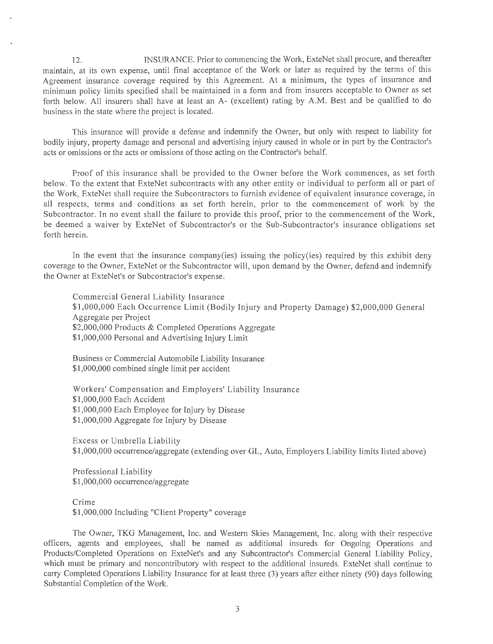12. INSURANCE. Prior to commencing the Work, ExteNet shall procure, and thereafter maintain, at its own expense, until final acceptance of the Work or later as required by the terms of this Agreement insurance coverage required by this Agreement. At a minimum, the types of insurance and minimum policy limits specified shall be maintained in a form and from insurers acceptable to Owner as set forth below. All insurers shall have at least an A- (excellent) rating by A.M. Best and be qualified to do business in the state where the project is located.

This insurance will provide a defense and indemnify the Owner, but only with respect to liability for bodily injury, property damage and personal and advertising injury caused in whole or in part by the Contractor's acts or omissions or the acts or omissions of those acting on the Contractor's behalf.

Proof of this insurance shall be provided to the Owner before the Work commences, as set forth below. To the extent that ExteNet subcontracts with any other entity or individual to perform all or part of the Work, ExteNet shall require the Subcontractors to furnish evidence of equivalent insurance coverage, in all respects, terms and conditions as set forth herein, prior to the commencement of work by the Subcontractor. In no event shall the failure to provide this proof, prior to the commencement of the Work, be deemed a waiver by ExteNet of Subcontractor's or the Sub-Subcontractor's insurance obligations set forth herein.

In the event that the insurance company(ies) issuing the policy(ies) required by this exhibit deny coverage to the Owner, ExteNet or the Subcontractor will, upon demand by the Owner, defend and indemnify the Owner at ExteNet's or Subcontractor's expense.

Commercial General Liability Insurance \$1,000,000 Each Occurrence Limit (Bodily Injury and Property Damage) \$2,000,000 General Aggregate per Project \$2,000,000 Products & Completed Operations Aggregate \$1,000,000 Personal and Advertising Injury Limit

Business or Commercial Automobile Liability Insurance \$1,000,000 combined single limit per accident

Workers' Compensation and Employers' Liability Insurance \$1 ,000,000 Each Accident \$1,000,000 Each Employee for Injury by Disease \$1,000,000 Aggregate for Injury by Disease

Excess or Umbrella Liability \$1 ,000,000 occurrence/aggregate (extending over GL, Auto, Employers Liability limits listed above)

Professional Liability \$1,000,000 occurrence/aggregate

Crime \$1,000,000 Including "Client Property" coverage

The Owner, TKG Management, Inc. and Western Skies Management, Inc. along with their respective officers, agents and employees, shall be named as additional insureds for Ongoing Operations and Products/Completed Operations on ExteNet's and any Subcontractor's Commercial General Liability Policy, which must be primary and noncontributory with respect to the additional insureds. ExteNet shall continue to carry Completed Operations Liability Insurance for at least three (3) years after either ninety (90) days following Substantial Completion of the Work.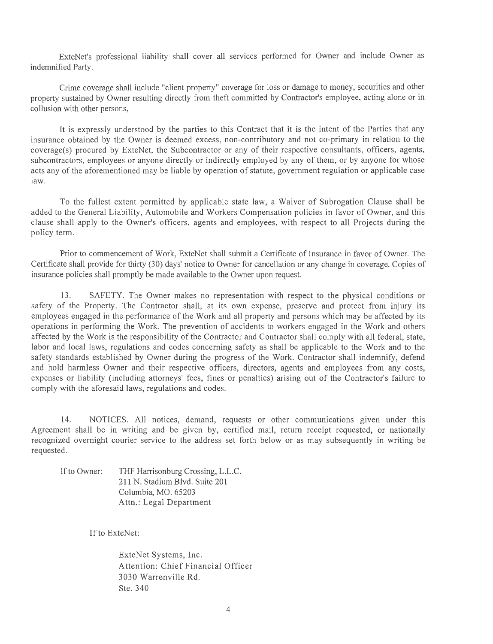ExteNet's professional liability shall cover all services performed for Owner and include Owner as indemnified Party.

Crime coverage shall include "client property" coverage for loss or damage to money, securities and other property sustained by Owner resulting directly from theft committed by Contractor's employee, acting alone or in collusion with other persons,

It is expressly understood by the parties to this Contract that it is the intent of the Parties that any insurance obtained by the Owner is deemed excess, non-contributory and not co-primary in relation to the coverage(s) procured by ExteNet, the Subcontractor or any of their respective consultants, officers, agents, subcontractors, employees or anyone directly or indirectly employed by any of them, or by anyone for whose acts any of the aforementioned may be liable by operation of statute, government regulation or applicable case law.

To the fullest extent permitted by applicable state law, a Waiver of Subrogation Clause shall be added to the General Liability, Automobile and Workers Compensation policies in favor of Owner, and this clause shall apply to the Owner's officers, agents and employees, with respect to all Projects during the policy term.

Prior to commencement of Work, ExteNet shall submit a Certificate of Insurance in favor of Owner. The Certificate shall provide for thirty (30) days' notice to Owner for cancellation or any change in coverage. Copies of insurance policies shall promptly be made available to the Owner upon request.

13. SAFETY. The Owner makes no representation with respect to the physical conditions or safety of the Property. The Contractor shall, at its own expense, preserve and protect from injury its employees engaged in the performance of the Work and all property and persons which may be affected by its operations in performing the Work. The prevention of accidents to workers engaged in the Work and others affected by the Work is the responsibility of the Contractor and Contractor shall comply with all federal, state, labor and local laws, regulations and codes concerning safety as shall be applicable to the Work and to the safety standards established by Owner during the progress of the Work. Contractor shall indemnify, defend and hold harmless Owner and their respective officers, directors, agents and employees from any costs, expenses or liability (including attorneys' fees, fines or penalties) arising out of the Contractor's failure to comply with the aforesaid laws, regulations and codes.

14. NOTICES. All notices, demand, requests or other communications given under this Agreement shall be in writing and be given by, certified mail, return receipt requested, or nationally recognized overnight courier service to the address set forth below or as may subsequently in writing be requested.

If to Owner: THF Harrisonburg Crossing, L.L.C. 211 N. Stadium Blvd. Suite 201 Columbia, MO. 65203 Attn.: Legal Department

If to ExteNet:

ExteNet Systems, Inc. Attention: Chief Financial Officer 3030 Warrenville Rd. Ste. 340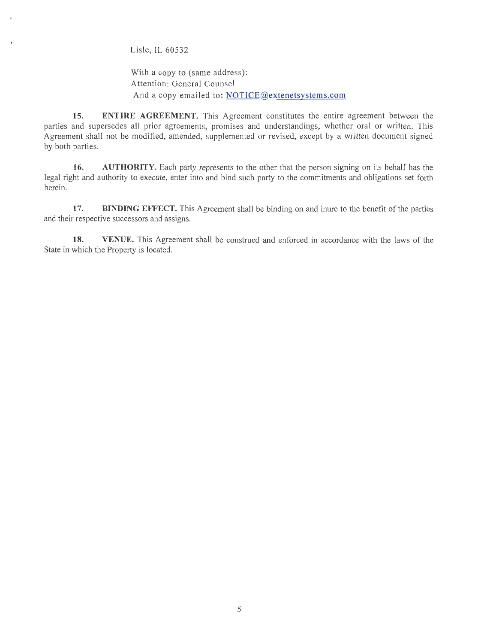Lisle, IL 60532

With a copy to (same address): Attention: General Counsel And a copy emailed to: NOTICE@extenetsystems.com

**15. ENTIRE AGREEMENT.** This Agreement constitutes the entire agreement between the parties and supersedes all prior agreements, promises and understandings, whether oral or written. This Agreement shall not be modified, amended, supplemented or revised, except by a written document signed by both parties.

**16. AUTHORITY.** Each party represents to the other that the person signing on its behalf has the legal right and authority to execute, enter into and bind such party to the commitments and obligations set forth herein.

17. **BINDING EFFECT.** This Agreement shall be binding on and inure to the benefit of the parties and their respective successors and assigns.

**18. VENUE.** This Agreement shall be construed and enforced in accordance with the laws of the State in which the Property is located.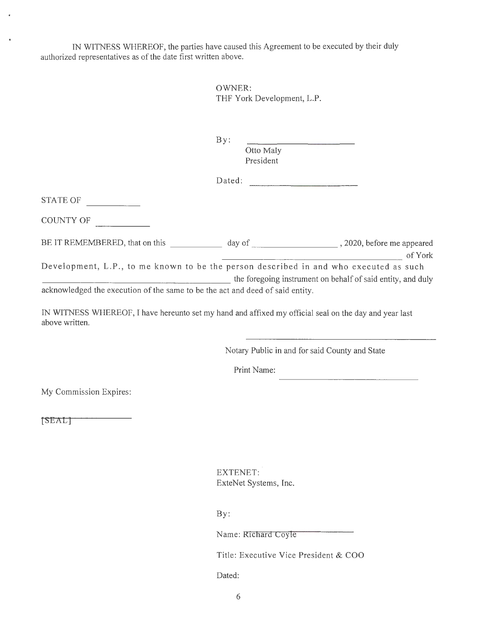IN WITNESS WHEREOF, the parties have caused this Agreement to be executed by their duly authorized representatives as of the date first written above.

> OWNER: THF York Development, L.P.

B y: Otto Maly President

| Dated: |  |
|--------|--|
|        |  |

STATE OF

J.

COUNTY OF

| BE IT REMEMBERED, that on this | day of | , 2020, before me appeared |
|--------------------------------|--------|----------------------------|
|                                |        |                            |

of York<br>Development, L.P., to me known to be the person described in and who executed as such

\_\_\_\_\_\_\_\_\_\_\_\_\_\_\_\_\_\_\_ the foregoing instrument on behalf of said entity, and duly acknowledged the execution of the same to be the act and deed of said entity.

IN WITNESS WHEREOF, I have hereunto set my hand and affixed my official seal on the day and year last above written.

Notary Public in and for said County and State

Print Name:

My Commission Expires:

[SEAL]

EXTENET: ExteNet Systems, Inc.

By:

Name: Richard Coyle

Title: Executive Vice President & COO

Dated: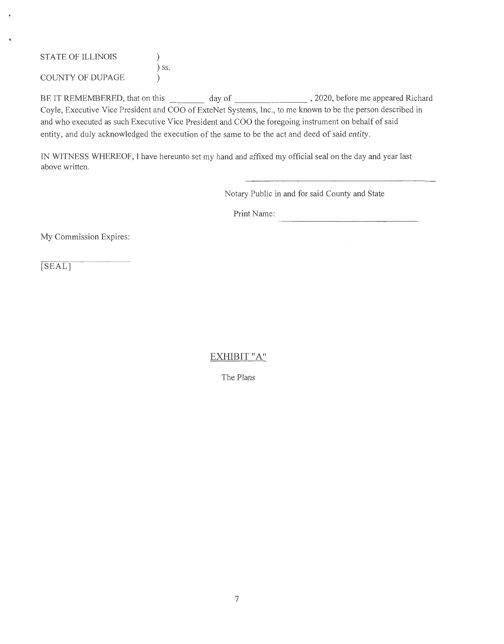| <b>STATE OF ILLINOIS</b> |         |
|--------------------------|---------|
|                          | $)$ SS. |
| COUNTY OF DUPAGE         |         |

BE IT REMEMBERED, that on this \_\_\_\_\_\_\_ day of \_\_\_\_\_\_\_\_\_\_\_\_\_\_\_\_, 2020, before me appeared Richard Coyle, Executive Vice President and COO of ExteNet Systems, Inc., to me known to be the person described in and who executed as such Executive Vice President and COO the foregoing instrument on behalf of said entity, and duly acknowledged the execution of the same to be the act and deed of said entity.

IN WITNESS WHEREOF, I have hereunto set my hand and affixed my official seal on the day and year last above written.

Notary Public in and for said County and State

Print Name:

My Commission Expires:

[SEAL]

EXHIBIT "A"

The Plans